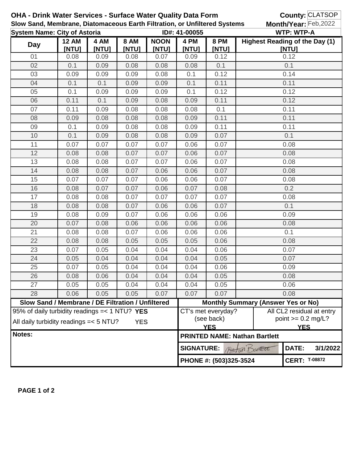|                                     | OHA - Drink Water Services - Surface Water Quality Data Form              |               |                      |                      |                                  |                                                                  |                                                     | County: CLATSOP           |                      |  |
|-------------------------------------|---------------------------------------------------------------------------|---------------|----------------------|----------------------|----------------------------------|------------------------------------------------------------------|-----------------------------------------------------|---------------------------|----------------------|--|
|                                     | Slow Sand, Membrane, Diatomaceous Earth Filtration, or Unfiltered Systems |               |                      |                      |                                  |                                                                  |                                                     | Month/Year: Feb, 2022     |                      |  |
| <b>System Name: City of Astoria</b> |                                                                           |               |                      |                      | ID#: 41-00055                    |                                                                  | <b>WTP: WTP-A</b><br>Highest Reading of the Day (1) |                           |                      |  |
| <b>Day</b>                          | <b>12 AM</b><br>[NTU]                                                     | 4 AM<br>[NTU] | <b>8 AM</b><br>[NTU] | <b>NOON</b><br>[NTU] | 4 PM<br>[NTU]                    | <b>8 PM</b><br>[NTU]                                             |                                                     | [NTU]                     |                      |  |
| 01                                  | 0.08                                                                      | 0.09          | 0.08                 | 0.07                 | 0.09                             | 0.12                                                             | 0.12                                                |                           |                      |  |
| 02                                  | 0.1                                                                       | 0.09          | 0.08                 | 0.08                 | 0.08                             | 0.1                                                              | 0.1                                                 |                           |                      |  |
| 03                                  | 0.09                                                                      | 0.09          | 0.09                 | 0.08                 | 0.1                              | 0.12                                                             | 0.14                                                |                           |                      |  |
| 04                                  | 0.1                                                                       | 0.1           | 0.09                 | 0.09                 | 0.1                              | 0.11                                                             | 0.11                                                |                           |                      |  |
| 05                                  | 0.1                                                                       | 0.09          | 0.09                 | 0.09                 | 0.1                              | 0.12                                                             | 0.12                                                |                           |                      |  |
| 06                                  | 0.11                                                                      | 0.1           | 0.09                 | 0.08                 | 0.09                             | 0.11                                                             | 0.12                                                |                           |                      |  |
| 07                                  | 0.11                                                                      | 0.09          | 0.08                 | 0.08                 | 0.08                             | 0.1                                                              | 0.11                                                |                           |                      |  |
| 08                                  | 0.09                                                                      | 0.08          | 0.08                 | 0.08                 | 0.09                             | 0.11                                                             | 0.11                                                |                           |                      |  |
| 09                                  | 0.1                                                                       | 0.09          | 0.08                 | 0.08                 | 0.09                             | 0.11                                                             | 0.11                                                |                           |                      |  |
| 10                                  | 0.1                                                                       | 0.09          | 0.08                 | 0.08                 | 0.09                             | 0.07                                                             | 0.1                                                 |                           |                      |  |
| 11                                  | 0.07                                                                      | 0.07          | 0.07                 | 0.07                 | 0.06                             | 0.07                                                             | 0.08                                                |                           |                      |  |
| 12                                  | 0.08                                                                      | 0.08          | 0.07                 | 0.07                 | 0.06                             | 0.07                                                             | 0.08                                                |                           |                      |  |
| 13                                  | 0.08                                                                      | 0.08          | 0.07                 | 0.07                 | 0.06                             | 0.07                                                             | 0.08                                                |                           |                      |  |
| 14                                  | 0.08                                                                      | 0.08          | 0.07                 | 0.06                 | 0.06                             | 0.07                                                             | 0.08                                                |                           |                      |  |
| 15                                  | 0.07                                                                      | 0.07          | 0.07                 | 0.06                 | 0.06                             | 0.07                                                             | 0.08                                                |                           |                      |  |
| 16                                  | 0.08                                                                      | 0.07          | 0.07                 | 0.06                 | 0.07                             | 0.08                                                             | 0.2                                                 |                           |                      |  |
| 17                                  | 0.08                                                                      | 0.08          | 0.07                 | 0.07                 | 0.07                             | 0.07                                                             | 0.08                                                |                           |                      |  |
| 18                                  | 0.08                                                                      | 0.08          | 0.07                 | 0.06                 | 0.06                             | 0.07                                                             | 0.1                                                 |                           |                      |  |
| 19                                  | 0.08                                                                      | 0.09          | 0.07                 | 0.06                 | 0.06                             | 0.06                                                             | 0.09                                                |                           |                      |  |
| 20                                  | 0.07                                                                      | 0.08          | 0.06                 | 0.06                 | 0.06                             | 0.06                                                             | 0.08                                                |                           |                      |  |
| 21                                  | 0.08                                                                      | 0.08          | 0.07                 | 0.06                 | 0.06                             | 0.06                                                             | 0.1                                                 |                           |                      |  |
| 22                                  | 0.08                                                                      | 0.08          | 0.05                 | 0.05                 | 0.05                             | 0.06                                                             | 0.08                                                |                           |                      |  |
| 23                                  | 0.07                                                                      | 0.05          | 0.04                 | 0.04                 | 0.04                             | 0.06                                                             | 0.07                                                |                           |                      |  |
| 24                                  | 0.05                                                                      | 0.04          | 0.04                 | 0.04                 | 0.04                             | 0.05                                                             | 0.07                                                |                           |                      |  |
| 25                                  | 0.07                                                                      | 0.05          | 0.04                 | 0.04                 | 0.04                             | 0.06                                                             | 0.09                                                |                           |                      |  |
| 26                                  | 0.08                                                                      | 0.06          | 0.04                 | 0.04                 | 0.04                             | 0.05                                                             | 0.08                                                |                           |                      |  |
| 27                                  | 0.05                                                                      | 0.05          | 0.04                 | 0.04                 | 0.04                             | 0.05                                                             | 0.06                                                |                           |                      |  |
| 28                                  | 0.06                                                                      | 0.05          | 0.05                 | 0.07                 | 0.07                             | 0.07                                                             |                                                     | 0.08                      |                      |  |
|                                     | Slow Sand / Membrane / DE Filtration / Unfiltered                         |               |                      |                      |                                  | <b>Monthly Summary (Answer Yes or No)</b>                        |                                                     |                           |                      |  |
|                                     | 95% of daily turbidity readings $=< 1 N T U?$ YES                         |               |                      |                      |                                  | CT's met everyday?                                               |                                                     | All CL2 residual at entry |                      |  |
|                                     | All daily turbidity readings = < 5 NTU?<br><b>YES</b>                     |               |                      |                      |                                  | (see back)                                                       |                                                     |                           | point $>= 0.2$ mg/L? |  |
| Notes:                              |                                                                           |               |                      |                      |                                  | <b>YES</b><br><b>YES</b><br><b>PRINTED NAME: Nathan Bartlett</b> |                                                     |                           |                      |  |
|                                     |                                                                           |               |                      |                      |                                  |                                                                  |                                                     |                           |                      |  |
|                                     |                                                                           |               |                      |                      | <b>SIGNATURE:</b><br>TIP DOPTERE |                                                                  |                                                     | DATE:                     | 3/1/2022             |  |
|                                     |                                                                           |               |                      |                      | PHONE #: (503)325-3524           |                                                                  |                                                     | <b>CERT: T-08872</b>      |                      |  |

**PAGE 1 of 2**